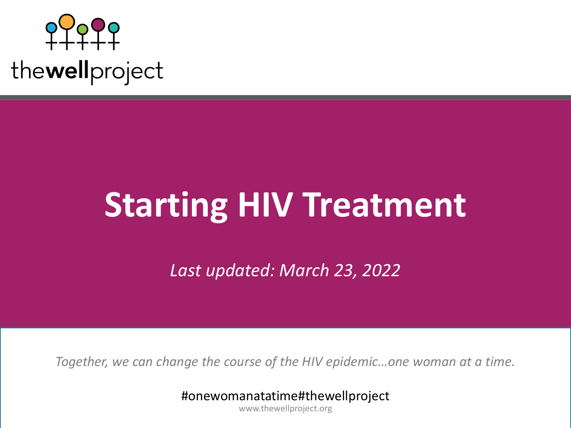

### **Starting HIV Treatment**

*Last updated: March 23, 2022*

*Together, we can change the course of the HIV epidemic…one woman at a time.*

#onewomanatatime#thewellproject

www.thewellproject.org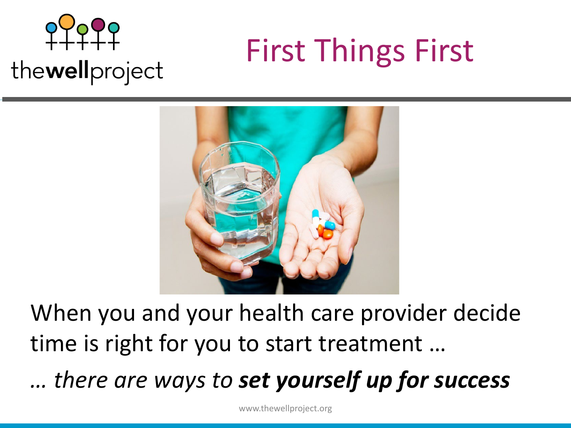



When you and your health care provider decide time is right for you to start treatment …

*… there are ways to set yourself up for success*

www.thewellproject.org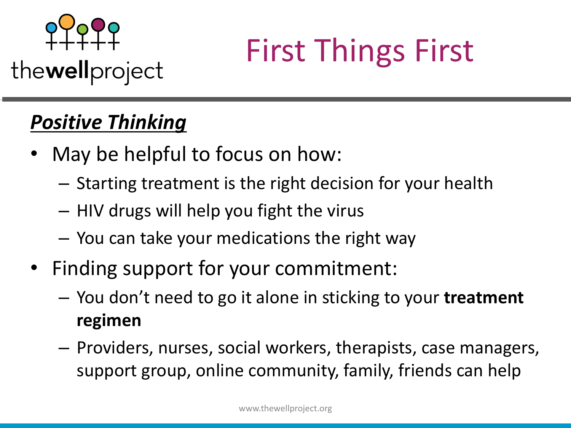

### *Positive Thinking*

- May be helpful to focus on how:
	- Starting treatment is the right decision for your health
	- HIV drugs will help you fight the virus
	- You can take your medications the right way
- Finding support for your commitment:
	- You don't need to go it alone in sticking to your **treatment regimen**
	- Providers, nurses, social workers, therapists, case managers, support group, online community, family, friends can help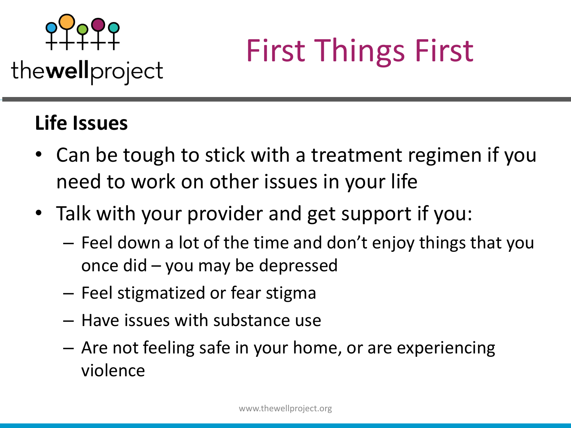

### **Life Issues**

- Can be tough to stick with a treatment regimen if you need to work on other issues in your life
- Talk with your provider and get support if you:
	- Feel down a lot of the time and don't enjoy things that you once did – you may be depressed
	- Feel stigmatized or fear stigma
	- Have issues with substance use
	- Are not feeling safe in your home, or are experiencing violence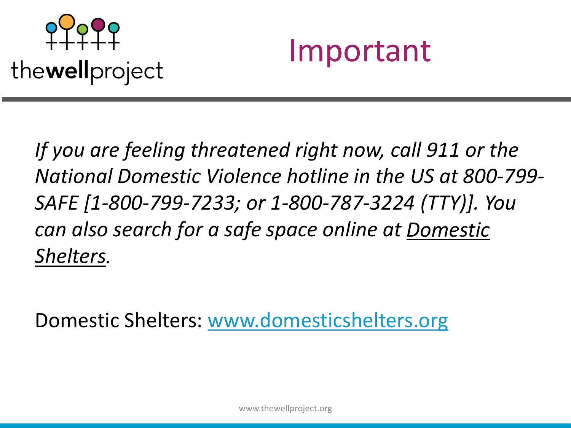

### Important

*If you are feeling threatened right now, call 911 or the National Domestic Violence hotline in the US at 800-799- SAFE [1-800-799-7233; or 1-800-787-3224 (TTY)]. You can also search for a safe space online at Domestic Shelters.* 

Domestic Shelters: [www.domesticshelters.org](http://www.domesticshelters.org/)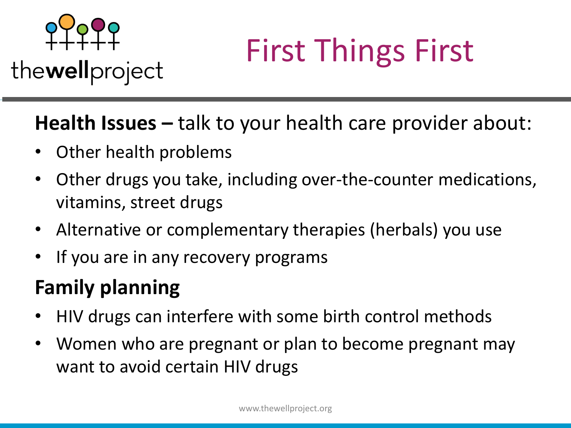

#### **Health Issues –** talk to your health care provider about:

- Other health problems
- Other drugs you take, including over-the-counter medications, vitamins, street drugs
- Alternative or complementary therapies (herbals) you use
- If you are in any recovery programs

### **Family planning**

- HIV drugs can interfere with some birth control methods
- Women who are pregnant or plan to become pregnant may want to avoid certain HIV drugs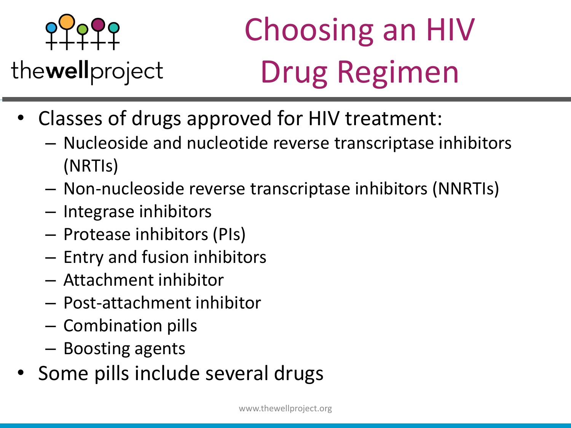

### thewellproject

# Choosing an HIV Drug Regimen

- Classes of drugs approved for HIV treatment:
	- Nucleoside and nucleotide reverse transcriptase inhibitors (NRTIs)
	- Non-nucleoside reverse transcriptase inhibitors (NNRTIs)
	- Integrase inhibitors
	- Protease inhibitors (PIs)
	- Entry and fusion inhibitors
	- Attachment inhibitor
	- Post-attachment inhibitor
	- Combination pills
	- Boosting agents
- Some pills include several drugs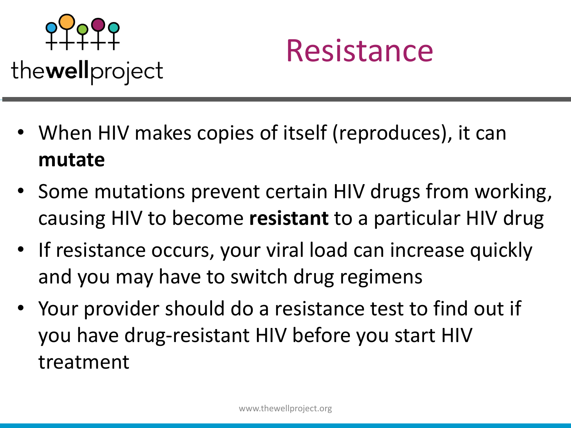



- When HIV makes copies of itself (reproduces), it can **mutate**
- Some mutations prevent certain HIV drugs from working, causing HIV to become **resistant** to a particular HIV drug
- If resistance occurs, your viral load can increase quickly and you may have to switch drug regimens
- Your provider should do a resistance test to find out if you have drug-resistant HIV before you start HIV treatment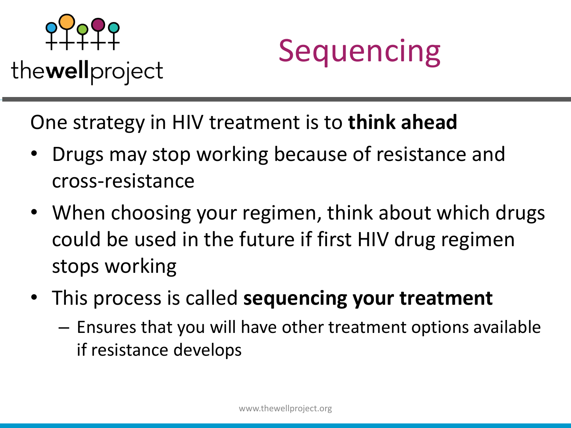



One strategy in HIV treatment is to **think ahead**

- Drugs may stop working because of resistance and cross-resistance
- When choosing your regimen, think about which drugs could be used in the future if first HIV drug regimen stops working
- This process is called **sequencing your treatment**
	- Ensures that you will have other treatment options available if resistance develops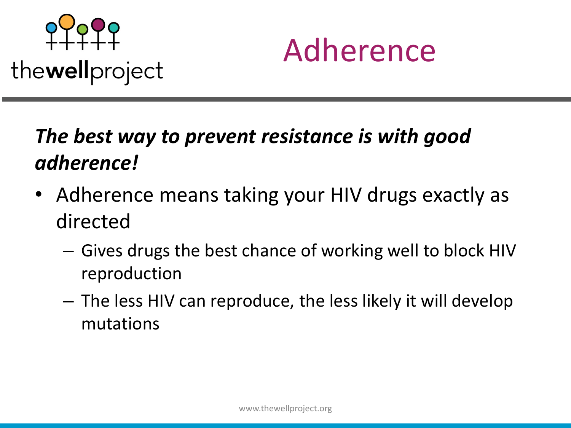



### *The best way to prevent resistance is with good adherence!*

- Adherence means taking your HIV drugs exactly as directed
	- Gives drugs the best chance of working well to block HIV reproduction
	- The less HIV can reproduce, the less likely it will develop mutations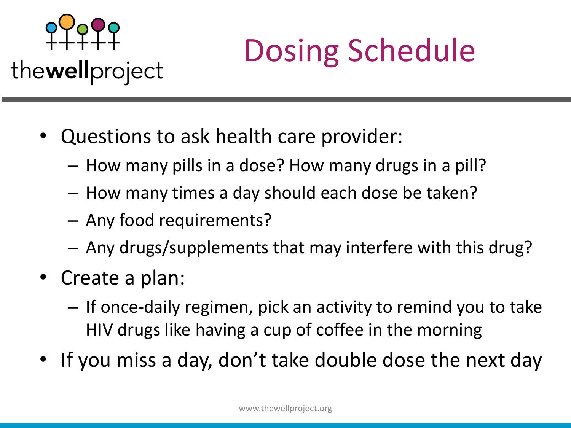

### Dosing Schedule

- Questions to ask health care provider:
	- How many pills in a dose? How many drugs in a pill?
	- How many times a day should each dose be taken?
	- Any food requirements?
	- Any drugs/supplements that may interfere with this drug?
- Create a plan:
	- If once-daily regimen, pick an activity to remind you to take HIV drugs like having a cup of coffee in the morning
- If you miss a day, don't take double dose the next day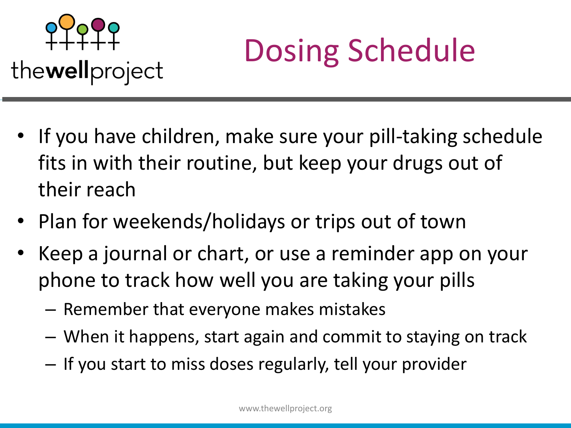

## Dosing Schedule

- If you have children, make sure your pill-taking schedule fits in with their routine, but keep your drugs out of their reach
- Plan for weekends/holidays or trips out of town
- Keep a journal or chart, or use a reminder app on your phone to track how well you are taking your pills
	- Remember that everyone makes mistakes
	- When it happens, start again and commit to staying on track
	- If you start to miss doses regularly, tell your provider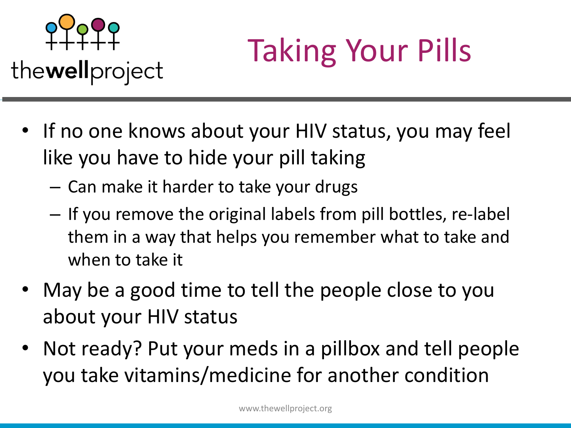

# Taking Your Pills

- If no one knows about your HIV status, you may feel like you have to hide your pill taking
	- Can make it harder to take your drugs
	- If you remove the original labels from pill bottles, re-label them in a way that helps you remember what to take and when to take it
- May be a good time to tell the people close to you about your HIV status
- Not ready? Put your meds in a pillbox and tell people you take vitamins/medicine for another condition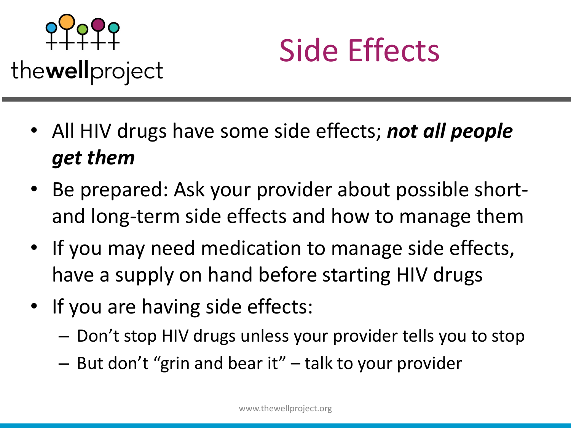



- All HIV drugs have some side effects; *not all people get them*
- Be prepared: Ask your provider about possible shortand long-term side effects and how to manage them
- If you may need medication to manage side effects, have a supply on hand before starting HIV drugs
- If you are having side effects:
	- Don't stop HIV drugs unless your provider tells you to stop
	- But don't "grin and bear it" talk to your provider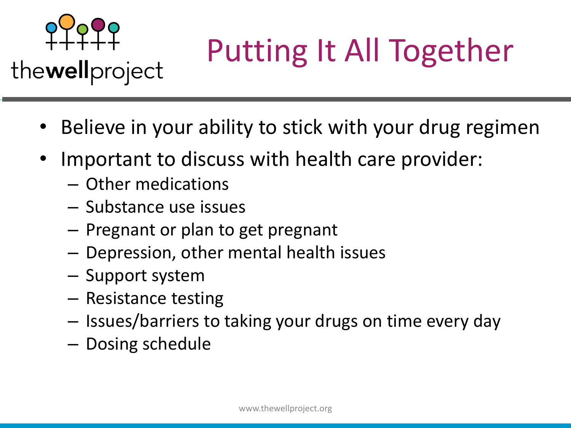

thewellproject

# Putting It All Together

- Believe in your ability to stick with your drug regimen
- Important to discuss with health care provider:
	- Other medications
	- Substance use issues
	- Pregnant or plan to get pregnant
	- Depression, other mental health issues
	- Support system
	- Resistance testing
	- Issues/barriers to taking your drugs on time every day
	- Dosing schedule